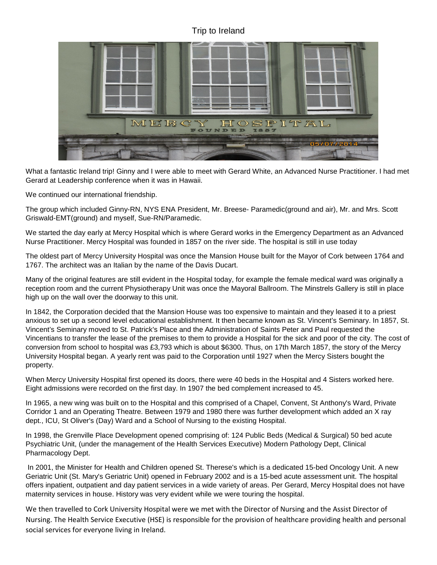## Trip to Ireland



What a fantastic Ireland trip! Ginny and I were able to meet with Gerard White, an Advanced Nurse Practitioner. I had met Gerard at Leadership conference when it was in Hawaii.

We continued our international friendship.

The group which included Ginny-RN, NYS ENA President, Mr. Breese- Paramedic(ground and air), Mr. and Mrs. Scott Griswald-EMT(ground) and myself, Sue-RN/Paramedic.

We started the day early at Mercy Hospital which is where Gerard works in the Emergency Department as an Advanced Nurse Practitioner. Mercy Hospital was founded in 1857 on the river side. The hospital is still in use today

The oldest part of Mercy University Hospital was once the Mansion House built for the Mayor of Cork between 1764 and 1767. The architect was an Italian by the name of the Davis Ducart.

Many of the original features are still evident in the Hospital today, for example the female medical ward was originally a reception room and the current Physiotherapy Unit was once the Mayoral Ballroom. The Minstrels Gallery is still in place high up on the wall over the doorway to this unit.

In 1842, the Corporation decided that the Mansion House was too expensive to maintain and they leased it to a priest anxious to set up a second level educational establishment. It then became known as St. Vincent's Seminary. In 1857, St. Vincent's Seminary moved to St. Patrick's Place and the Administration of Saints Peter and Paul requested the Vincentians to transfer the lease of the premises to them to provide a Hospital for the sick and poor of the city. The cost of conversion from school to hospital was £3,793 which is about \$6300. Thus, on 17th March 1857, the story of the Mercy University Hospital began. A yearly rent was paid to the Corporation until 1927 when the Mercy Sisters bought the property.

When Mercy University Hospital first opened its doors, there were 40 beds in the Hospital and 4 Sisters worked here. Eight admissions were recorded on the first day. In 1907 the bed complement increased to 45.

In 1965, a new wing was built on to the Hospital and this comprised of a Chapel, Convent, St Anthony's Ward, Private Corridor 1 and an Operating Theatre. Between 1979 and 1980 there was further development which added an X ray dept., ICU, St Oliver's (Day) Ward and a School of Nursing to the existing Hospital.

In 1998, the Grenville Place Development opened comprising of: 124 Public Beds (Medical & Surgical) 50 bed acute Psychiatric Unit, (under the management of the Health Services Executive) Modern Pathology Dept, Clinical Pharmacology Dept.

In 2001, the Minister for Health and Children opened St. Therese's which is a dedicated 15-bed Oncology Unit. A new Geriatric Unit (St. Mary's Geriatric Unit) opened in February 2002 and is a 15-bed acute assessment unit. The hospital offers inpatient, outpatient and day patient services in a wide variety of areas. Per Gerard, Mercy Hospital does not have maternity services in house. History was very evident while we were touring the hospital.

We then travelled to Cork University Hospital were we met with the Director of Nursing and the Assist Director of Nursing. The Health Service Executive (HSE) is responsible for the provision of healthcare providing health and personal social services for everyone living in Ireland.